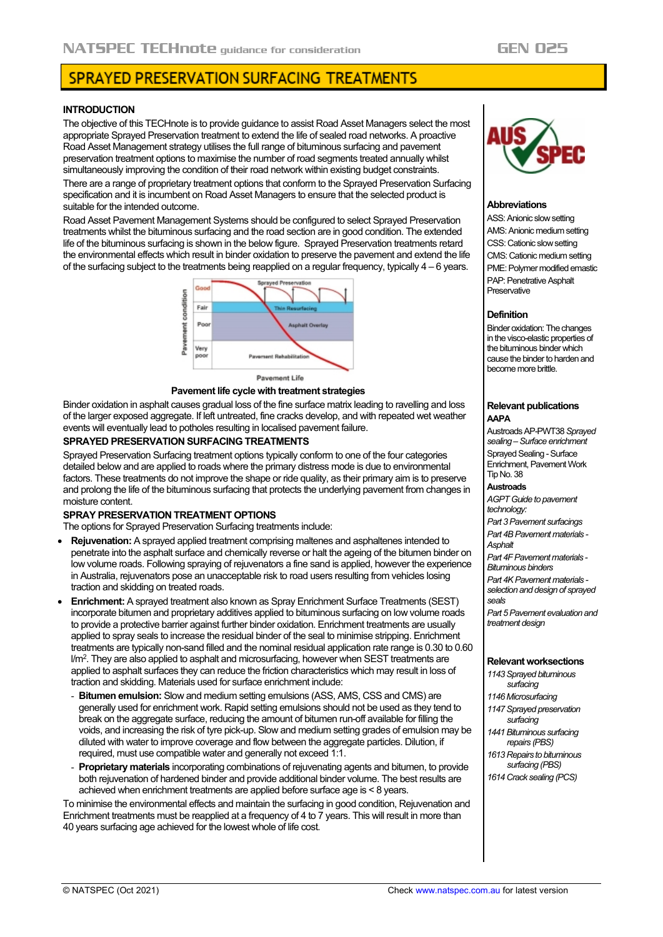# SPRAYED PRESERVATION SURFACING TREATMENTS

## **INTRODUCTION**

The objective of this TECHnote is to provide guidance to assist Road Asset Managers select the most appropriate Sprayed Preservation treatment to extend the life of sealed road networks. A proactive Road Asset Management strategy utilises the full range of bituminous surfacing and pavement preservation treatment options to maximise the number of road segments treated annually whilst simultaneously improving the condition of their road network within existing budget constraints.

There are a range of proprietary treatment options that conform to the Sprayed Preservation Surfacing specification and it is incumbent on Road Asset Managers to ensure that the selected product is suitable for the intended outcome.

Road Asset Pavement Management Systems should be configured to select Sprayed Preservation treatments whilst the bituminous surfacing and the road section are in good condition. The extended life of the bituminous surfacing is shown in the below figure. Sprayed Preservation treatments retard the environmental effects which result in binder oxidation to preserve the pavement and extend the life of the surfacing subject to the treatments being reapplied on a regular frequency, typically 4 – 6 years.



**Pavement Life** 

#### **Pavement life cycle with treatment strategies**

Binder oxidation in asphalt causes gradual loss of the fine surface matrix leading to ravelling and loss of the larger exposed aggregate. If left untreated, fine cracks develop, and with repeated wet weather events will eventually lead to potholes resulting in localised pavement failure.

## **SPRAYED PRESERVATION SURFACING TREATMENTS**

Sprayed Preservation Surfacing treatment options typically conform to one of the four categories detailed below and are applied to roads where the primary distress mode is due to environmental factors. These treatments do not improve the shape or ride quality, as their primary aim is to preserve and prolong the life of the bituminous surfacing that protects the underlying pavement from changes in moisture content.

### **SPRAY PRESERVATION TREATMENT OPTIONS**

The options for Sprayed Preservation Surfacing treatments include:

- **Rejuvenation:** A sprayed applied treatment comprising maltenes and asphaltenes intended to penetrate into the asphalt surface and chemically reverse or halt the ageing of the bitumen binder on low volume roads. Following spraying of rejuvenators a fine sand is applied, however the experience in Australia, rejuvenators pose an unacceptable risk to road users resulting from vehicles losing traction and skidding on treated roads.
- **Enrichment:** A sprayed treatment also known as Spray Enrichment Surface Treatments (SEST) incorporate bitumen and proprietary additives applied to bituminous surfacing on low volume roads to provide a protective barrier against further binder oxidation. Enrichment treatments are usually applied to spray seals to increase the residual binder of the seal to minimise stripping. Enrichment treatments are typically non-sand filled and the nominal residual application rate range is 0.30 to 0.60 l/m<sup>2</sup>. They are also applied to asphalt and microsurfacing, however when SEST treatments are applied to asphalt surfaces they can reduce the friction characteristics which may result in loss of traction and skidding. Materials used for surface enrichment include:
	- **Bitumen emulsion:** Slow and medium setting emulsions (ASS, AMS, CSS and CMS) are generally used for enrichment work. Rapid setting emulsions should not be used as they tend to break on the aggregate surface, reducing the amount of bitumen run-off available for filling the voids, and increasing the risk of tyre pick-up. Slow and medium setting grades of emulsion may be diluted with water to improve coverage and flow between the aggregate particles. Dilution, if required, must use compatible water and generally not exceed 1:1.
	- **Proprietary materials** incorporating combinations of rejuvenating agents and bitumen, to provide both rejuvenation of hardened binder and provide additional binder volume. The best results are achieved when enrichment treatments are applied before surface age is < 8 years.

To minimise the environmental effects and maintain the surfacing in good condition, Rejuvenation and Enrichment treatments must be reapplied at a frequency of 4 to  $\bar{7}$  years. This will result in more than 40 years surfacing age achieved for the lowest whole of life cost.



## **Abbreviations**

ASS: Anionic slow setting AMS: Anionic medium setting CSS: Cationic slow setting CMS: Cationic medium setting PME: Polymer modified emastic PAP: Penetrative Asphalt **Preservative** 

### **Definition**

Binder oxidation: The changes in the visco-elastic properties of the bituminous binder which cause the binder to harden and become more brittle.

#### **Relevant publications AAPA**

Austroads AP-PWT38 *Sprayed sealing –Surface enrichment* Sprayed Sealing - Surface Enrichment, Pavement Work Tip No. 38 **Austroads** *AGPT Guide to pavement technology: Part 3 Pavement surfacings Part 4B Pavement materials - Asphalt Part 4F Pavement materials - Bituminous binders Part 4K Pavement materials selection and design of sprayed seals Part 5 Pavement evaluation and* 

### **Relevant worksections**

- *1143 Sprayed bituminous surfacing*
- *1146 Microsurfacing*

*treatment design*

- *1147 Sprayed preservation surfacing*
- *1441 Bituminous surfacing repairs (PBS)*
- *1613 Repairs to bituminous surfacing (PBS)*
- *1614 Crack sealing (PCS)*